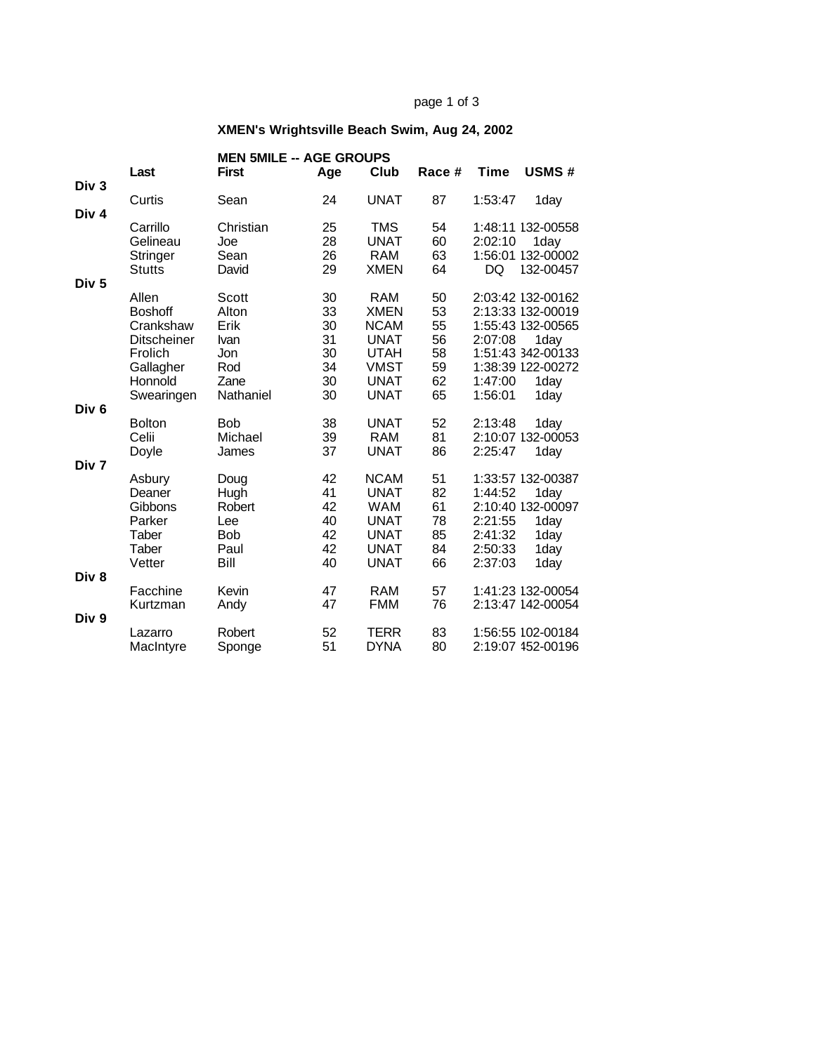#### page 1 of 3

# **XMEN's Wrightsville Beach Swim, Aug 24, 2002**

|                  |                    | <b>MEN 5MILE -- AGE GROUPS</b> |     |             |        |             |                   |  |  |
|------------------|--------------------|--------------------------------|-----|-------------|--------|-------------|-------------------|--|--|
|                  | Last               | <b>First</b>                   | Age | Club        | Race # | <b>Time</b> | USMS#             |  |  |
| Div <sub>3</sub> |                    |                                |     |             |        |             |                   |  |  |
| Div 4            | Curtis             | Sean                           | 24  | <b>UNAT</b> | 87     | 1:53:47     | 1day              |  |  |
|                  | Carrillo           | Christian                      | 25  | TMS         | 54     |             | 1:48:11 132-00558 |  |  |
|                  | Gelineau           | Joe                            | 28  | <b>UNAT</b> | 60     | 2:02:10     | 1day              |  |  |
|                  | Stringer           | Sean                           | 26  | <b>RAM</b>  | 63     |             | 1:56:01 132-00002 |  |  |
|                  | <b>Stutts</b>      | David                          | 29  | <b>XMEN</b> | 64     | DQ          | 132-00457         |  |  |
| Div <sub>5</sub> |                    |                                |     |             |        |             |                   |  |  |
|                  | Allen              | Scott                          | 30  | <b>RAM</b>  | 50     |             | 2:03:42 132-00162 |  |  |
|                  | <b>Boshoff</b>     | Alton                          | 33  | <b>XMEN</b> | 53     |             | 2:13:33 132-00019 |  |  |
|                  | Crankshaw          | Erik                           | 30  | <b>NCAM</b> | 55     |             | 1:55:43 132-00565 |  |  |
|                  | <b>Ditscheiner</b> | <b>Ivan</b>                    | 31  | <b>UNAT</b> | 56     | 2:07:08     | 1day              |  |  |
|                  | Frolich            | Jon                            | 30  | <b>UTAH</b> | 58     |             | 1:51:43 342-00133 |  |  |
|                  | Gallagher          | Rod                            | 34  | <b>VMST</b> | 59     |             | 1:38:39 122-00272 |  |  |
|                  | Honnold            | Zane                           | 30  | <b>UNAT</b> | 62     | 1:47:00     | 1day              |  |  |
|                  | Swearingen         | Nathaniel                      | 30  | <b>UNAT</b> | 65     | 1:56:01     | 1day              |  |  |
| Div <sub>6</sub> |                    |                                |     |             |        |             |                   |  |  |
|                  | <b>Bolton</b>      | <b>Bob</b>                     | 38  | <b>UNAT</b> | 52     | 2:13:48     | 1day              |  |  |
|                  | Celii              | Michael                        | 39  | <b>RAM</b>  | 81     |             | 2:10:07 132-00053 |  |  |
| Div <sub>7</sub> | Doyle              | James                          | 37  | <b>UNAT</b> | 86     | 2:25:47     | 1day              |  |  |
|                  |                    |                                | 42  | <b>NCAM</b> | 51     |             | 1:33:57 132-00387 |  |  |
|                  | Asbury<br>Deaner   | Doug<br>Hugh                   | 41  | <b>UNAT</b> | 82     | 1:44:52     | 1day              |  |  |
|                  | Gibbons            | Robert                         | 42  | <b>WAM</b>  | 61     |             | 2:10:40 132-00097 |  |  |
|                  | Parker             | Lee                            | 40  | <b>UNAT</b> | 78     | 2:21:55     | 1day              |  |  |
|                  | Taber              | <b>Bob</b>                     | 42  | <b>UNAT</b> | 85     | 2:41:32     | 1day              |  |  |
|                  | Taber              | Paul                           | 42  | <b>UNAT</b> | 84     | 2:50:33     | 1day              |  |  |
|                  | Vetter             | Bill                           | 40  | <b>UNAT</b> | 66     | 2:37:03     | 1day              |  |  |
| Div 8            |                    |                                |     |             |        |             |                   |  |  |
|                  | Facchine           | Kevin                          | 47  | <b>RAM</b>  | 57     |             | 1:41:23 132-00054 |  |  |
|                  | Kurtzman           | Andy                           | 47  | <b>FMM</b>  | 76     |             | 2:13:47 142-00054 |  |  |
| Div 9            |                    |                                |     |             |        |             |                   |  |  |
|                  | Lazarro            | Robert                         | 52  | <b>TERR</b> | 83     |             | 1:56:55 102-00184 |  |  |
|                  | MacIntyre          | Sponge                         | 51  | <b>DYNA</b> | 80     |             | 2:19:07 152-00196 |  |  |
|                  |                    |                                |     |             |        |             |                   |  |  |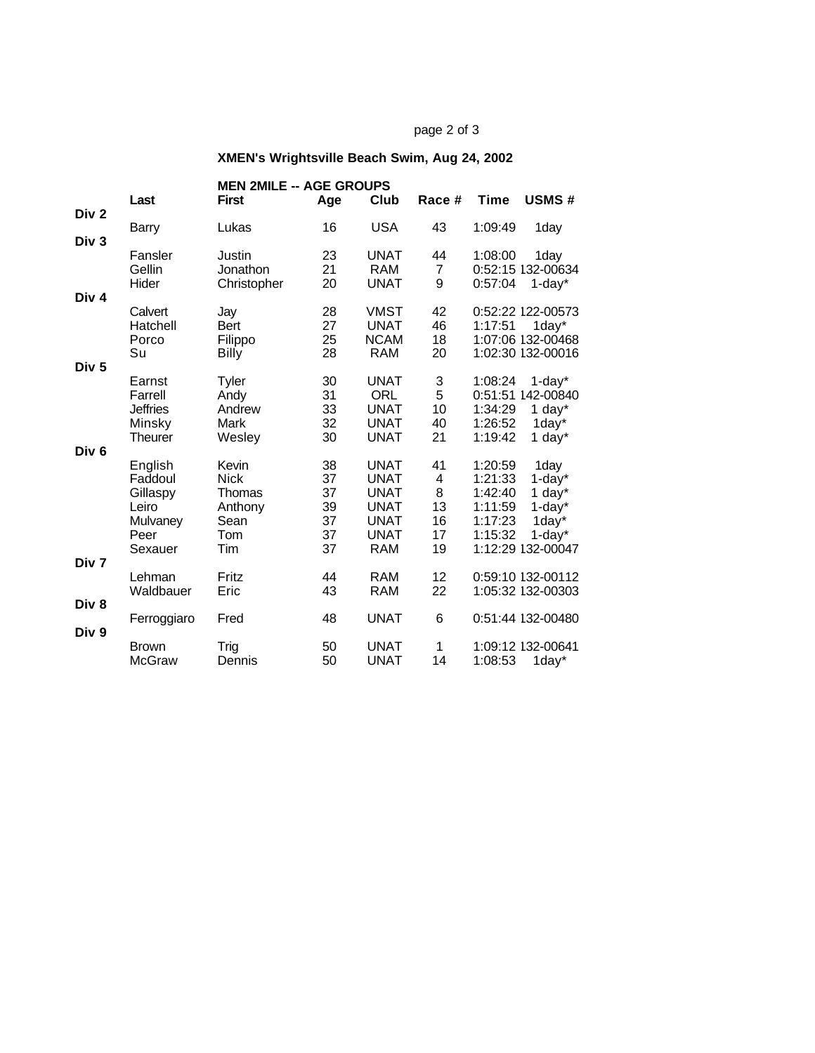## page 2 of 3

# **XMEN's Wrightsville Beach Swim, Aug 24, 2002**

|                                      | Last                                                                   | <b>MEN 2MILE -- AGE GROUPS</b><br><b>First</b>                  | Age                                    | Club                                                                                                 | Race #                               | <b>Time</b>                                                    | <b>USMS#</b>                                                                                 |
|--------------------------------------|------------------------------------------------------------------------|-----------------------------------------------------------------|----------------------------------------|------------------------------------------------------------------------------------------------------|--------------------------------------|----------------------------------------------------------------|----------------------------------------------------------------------------------------------|
| Div <sub>2</sub><br>Div <sub>3</sub> | Barry                                                                  | Lukas                                                           | 16                                     | <b>USA</b>                                                                                           | 43                                   | 1:09:49                                                        | 1day                                                                                         |
|                                      | Fansler<br>Gellin<br>Hider                                             | Justin<br>Jonathon<br>Christopher                               | 23<br>21<br>20                         | <b>UNAT</b><br>RAM<br><b>UNAT</b>                                                                    | 44<br>7<br>9                         | 1:08:00<br>0:57:04                                             | 1day<br>0:52:15 132-00634<br>$1$ -day $*$                                                    |
| Div <sub>4</sub>                     | Calvert<br>Hatchell<br>Porco<br>Su                                     | Jay<br><b>Bert</b><br>Filippo<br>Billy                          | 28<br>27<br>25<br>28                   | VMST<br><b>UNAT</b><br><b>NCAM</b><br><b>RAM</b>                                                     | 42<br>46<br>18<br>20                 | 1:17:51                                                        | 0:52:22 122-00573<br>1day*<br>1:07:06 132-00468<br>1:02:30 132-00016                         |
| Div <sub>5</sub>                     | Earnst<br>Farrell<br><b>Jeffries</b><br>Minsky<br>Theurer              | Tyler<br>Andy<br>Andrew<br>Mark<br>Wesley                       | 30<br>31<br>33<br>32<br>30             | <b>UNAT</b><br>ORL<br><b>UNAT</b><br><b>UNAT</b><br><b>UNAT</b>                                      | 3<br>5<br>10<br>40<br>21             | 1:08:24<br>1:34:29<br>1:26:52<br>1:19:42                       | $1$ -day $*$<br>0:51:51 142-00840<br>1 day $*$<br>1day*<br>1 day $*$                         |
| Div <sub>6</sub>                     | English<br>Faddoul<br>Gillaspy<br>Leiro<br>Mulvaney<br>Peer<br>Sexauer | Kevin<br><b>Nick</b><br>Thomas<br>Anthony<br>Sean<br>Tom<br>Tim | 38<br>37<br>37<br>39<br>37<br>37<br>37 | <b>UNAT</b><br><b>UNAT</b><br><b>UNAT</b><br><b>UNAT</b><br><b>UNAT</b><br><b>UNAT</b><br><b>RAM</b> | 41<br>4<br>8<br>13<br>16<br>17<br>19 | 1:20:59<br>1:21:33<br>1:42:40<br>1:11:59<br>1:17:23<br>1:15:32 | 1day<br>$1$ -day $*$<br>1 day*<br>$1$ -day $*$<br>1day*<br>$1$ -day $*$<br>1:12:29 132-00047 |
| Div 7<br>Div <sub>8</sub>            | Lehman<br>Waldbauer                                                    | Fritz<br>Eric                                                   | 44<br>43                               | <b>RAM</b><br><b>RAM</b>                                                                             | 12<br>22                             |                                                                | 0:59:10 132-00112<br>1:05:32 132-00303                                                       |
| Div 9                                | Ferroggiaro                                                            | Fred                                                            | 48                                     | <b>UNAT</b>                                                                                          | 6                                    |                                                                | 0:51:44 132-00480                                                                            |
|                                      | <b>Brown</b><br><b>McGraw</b>                                          | Trig<br>Dennis                                                  | 50<br>50                               | <b>UNAT</b><br><b>UNAT</b>                                                                           | 1<br>14                              | 1:08:53                                                        | 1:09:12 132-00641<br>1day*                                                                   |